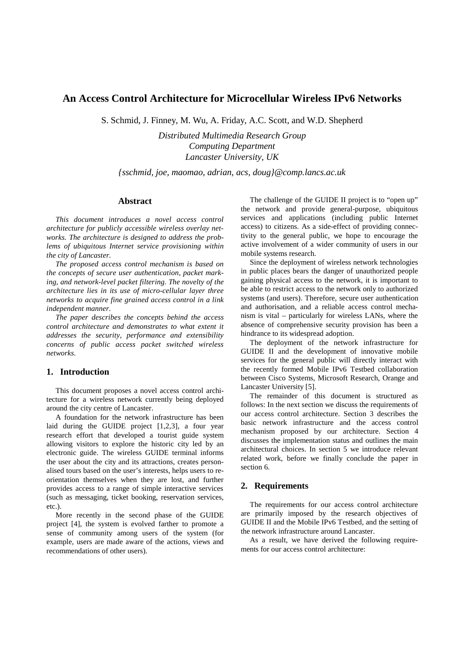# **An Access Control Architecture for Microcellular Wireless IPv6 Networks**

S. Schmid, J. Finney, M. Wu, A. Friday, A.C. Scott, and W.D. Shepherd

*Distributed Multimedia Research Group Computing Department Lancaster University, UK* 

*{sschmid, joe, maomao, adrian, acs, doug}@comp.lancs.ac.uk* 

# **Abstract**

*This document introduces a novel access control architecture for publicly accessible wireless overlay networks. The architecture is designed to address the problems of ubiquitous Internet service provisioning within the city of Lancaster.* 

*The proposed access control mechanism is based on the concepts of secure user authentication, packet marking, and network-level packet filtering. The novelty of the architecture lies in its use of micro-cellular layer three networks to acquire fine grained access control in a link independent manner.* 

*The paper describes the concepts behind the access control architecture and demonstrates to what extent it addresses the security, performance and extensibility concerns of public access packet switched wireless networks.*

# **1. Introduction**

This document proposes a novel access control architecture for a wireless network currently being deployed around the city centre of Lancaster.

A foundation for the network infrastructure has been laid during the GUIDE project [1,2,3], a four year research effort that developed a tourist guide system allowing visitors to explore the historic city led by an electronic guide. The wireless GUIDE terminal informs the user about the city and its attractions, creates personalised tours based on the user's interests, helps users to reorientation themselves when they are lost, and further provides access to a range of simple interactive services (such as messaging, ticket booking, reservation services, etc.).

More recently in the second phase of the GUIDE project [4], the system is evolved farther to promote a sense of community among users of the system (for example, users are made aware of the actions, views and recommendations of other users).

The challenge of the GUIDE II project is to "open up" the network and provide general-purpose, ubiquitous services and applications (including public Internet access) to citizens. As a side-effect of providing connectivity to the general public, we hope to encourage the active involvement of a wider community of users in our mobile systems research.

Since the deployment of wireless network technologies in public places bears the danger of unauthorized people gaining physical access to the network, it is important to be able to restrict access to the network only to authorized systems (and users). Therefore, secure user authentication and authorisation, and a reliable access control mechanism is vital – particularly for wireless LANs, where the absence of comprehensive security provision has been a hindrance to its widespread adoption.

The deployment of the network infrastructure for GUIDE II and the development of innovative mobile services for the general public will directly interact with the recently formed Mobile IPv6 Testbed collaboration between Cisco Systems, Microsoft Research, Orange and Lancaster University [5].

The remainder of this document is structured as follows: In the next section we discuss the requirements of our access control architecture. Section 3 describes the basic network infrastructure and the access control mechanism proposed by our architecture. Section 4 discusses the implementation status and outlines the main architectural choices. In section 5 we introduce relevant related work, before we finally conclude the paper in section 6.

### **2. Requirements**

The requirements for our access control architecture are primarily imposed by the research objectives of GUIDE II and the Mobile IPv6 Testbed, and the setting of the network infrastructure around Lancaster.

As a result, we have derived the following requirements for our access control architecture: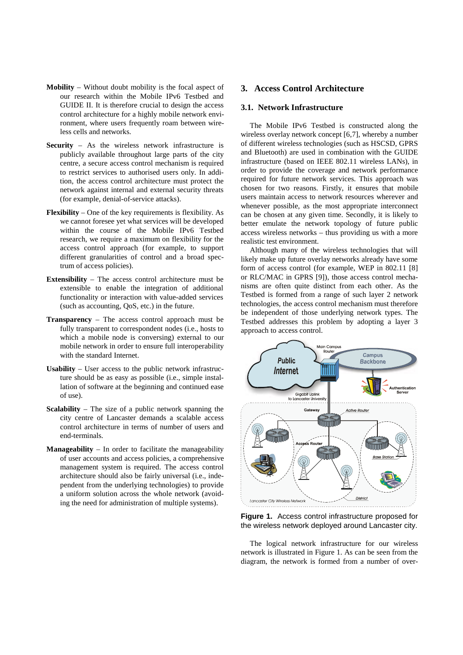- **Mobility** Without doubt mobility is the focal aspect of our research within the Mobile IPv6 Testbed and GUIDE II. It is therefore crucial to design the access control architecture for a highly mobile network environment, where users frequently roam between wireless cells and networks.
- **Security** As the wireless network infrastructure is publicly available throughout large parts of the city centre, a secure access control mechanism is required to restrict services to authorised users only. In addition, the access control architecture must protect the network against internal and external security threats (for example, denial-of-service attacks).
- **Flexibility**  One of the key requirements is flexibility. As we cannot foresee yet what services will be developed within the course of the Mobile IPv6 Testbed research, we require a maximum on flexibility for the access control approach (for example, to support different granularities of control and a broad spectrum of access policies).
- **Extensibility**  The access control architecture must be extensible to enable the integration of additional functionality or interaction with value-added services (such as accounting, QoS, etc.) in the future.
- **Transparency**  The access control approach must be fully transparent to correspondent nodes (i.e., hosts to which a mobile node is conversing) external to our mobile network in order to ensure full interoperability with the standard Internet.
- **Usability**  User access to the public network infrastructure should be as easy as possible (i.e., simple installation of software at the beginning and continued ease of use).
- **Scalability** The size of a public network spanning the city centre of Lancaster demands a scalable access control architecture in terms of number of users and end-terminals.
- **Manageability**  In order to facilitate the manageability of user accounts and access policies, a comprehensive management system is required. The access control architecture should also be fairly universal (i.e., independent from the underlying technologies) to provide a uniform solution across the whole network (avoiding the need for administration of multiple systems).

# **3. Access Control Architecture**

# **3.1. Network Infrastructure**

The Mobile IPv6 Testbed is constructed along the wireless overlay network concept [6,7], whereby a number of different wireless technologies (such as HSCSD, GPRS and Bluetooth) are used in combination with the GUIDE infrastructure (based on IEEE 802.11 wireless LANs), in order to provide the coverage and network performance required for future network services. This approach was chosen for two reasons. Firstly, it ensures that mobile users maintain access to network resources wherever and whenever possible, as the most appropriate interconnect can be chosen at any given time. Secondly, it is likely to better emulate the network topology of future public access wireless networks – thus providing us with a more realistic test environment.

Although many of the wireless technologies that will likely make up future overlay networks already have some form of access control (for example, WEP in 802.11 [8] or RLC/MAC in GPRS [9]), those access control mechanisms are often quite distinct from each other. As the Testbed is formed from a range of such layer 2 network technologies, the access control mechanism must therefore be independent of those underlying network types. The Testbed addresses this problem by adopting a layer 3 approach to access control.



**Figure 1.** Access control infrastructure proposed for the wireless network deployed around Lancaster city.

The logical network infrastructure for our wireless network is illustrated in Figure 1. As can be seen from the diagram, the network is formed from a number of over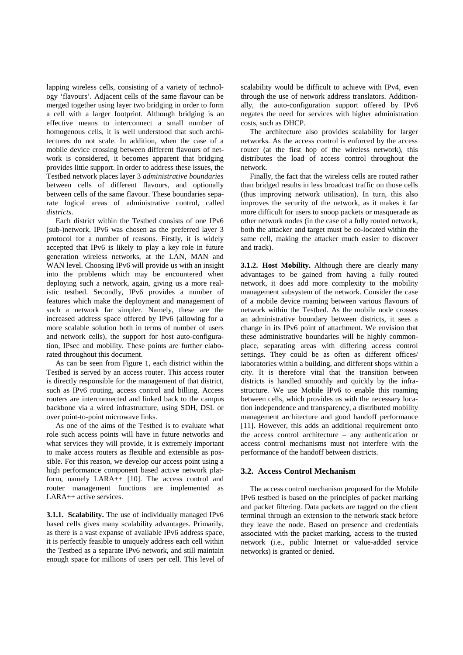lapping wireless cells, consisting of a variety of technology 'flavours'. Adjacent cells of the same flavour can be merged together using layer two bridging in order to form a cell with a larger footprint. Although bridging is an effective means to interconnect a small number of homogenous cells, it is well understood that such architectures do not scale. In addition, when the case of a mobile device crossing between different flavours of network is considered, it becomes apparent that bridging provides little support. In order to address these issues, the Testbed network places layer 3 *administrative boundaries* between cells of different flavours, and optionally between cells of the same flavour. These boundaries separate logical areas of administrative control, called *districts*.

Each district within the Testbed consists of one IPv6 (sub-)network. IPv6 was chosen as the preferred layer 3 protocol for a number of reasons. Firstly, it is widely accepted that IPv6 is likely to play a key role in future generation wireless networks, at the LAN, MAN and WAN level. Choosing IPv6 will provide us with an insight into the problems which may be encountered when deploying such a network, again, giving us a more realistic testbed. Secondly, IPv6 provides a number of features which make the deployment and management of such a network far simpler. Namely, these are the increased address space offered by IPv6 (allowing for a more scalable solution both in terms of number of users and network cells), the support for host auto-configuration, IPsec and mobility. These points are further elaborated throughout this document.

As can be seen from Figure 1, each district within the Testbed is served by an access router. This access router is directly responsible for the management of that district, such as IPv6 routing, access control and billing. Access routers are interconnected and linked back to the campus backbone via a wired infrastructure, using SDH, DSL or over point-to-point microwave links.

As one of the aims of the Testbed is to evaluate what role such access points will have in future networks and what services they will provide, it is extremely important to make access routers as flexible and extensible as possible. For this reason, we develop our access point using a high performance component based active network platform, namely LARA++ [10]. The access control and router management functions are implemented as LARA++ active services.

**3.1.1. Scalability.** The use of individually managed IPv6 based cells gives many scalability advantages. Primarily, as there is a vast expanse of available IPv6 address space, it is perfectly feasible to uniquely address each cell within the Testbed as a separate IPv6 network, and still maintain enough space for millions of users per cell. This level of scalability would be difficult to achieve with IPv4, even through the use of network address translators. Additionally, the auto-configuration support offered by IPv6 negates the need for services with higher administration costs, such as DHCP.

The architecture also provides scalability for larger networks. As the access control is enforced by the access router (at the first hop of the wireless network), this distributes the load of access control throughout the network.

Finally, the fact that the wireless cells are routed rather than bridged results in less broadcast traffic on those cells (thus improving network utilisation). In turn, this also improves the security of the network, as it makes it far more difficult for users to snoop packets or masquerade as other network nodes (in the case of a fully routed network, both the attacker and target must be co-located within the same cell, making the attacker much easier to discover and track).

**3.1.2. Host Mobility.** Although there are clearly many advantages to be gained from having a fully routed network, it does add more complexity to the mobility management subsystem of the network. Consider the case of a mobile device roaming between various flavours of network within the Testbed. As the mobile node crosses an administrative boundary between districts, it sees a change in its IPv6 point of attachment. We envision that these administrative boundaries will be highly commonplace, separating areas with differing access control settings. They could be as often as different offices/ laboratories within a building, and different shops within a city. It is therefore vital that the transition between districts is handled smoothly and quickly by the infrastructure. We use Mobile IPv6 to enable this roaming between cells, which provides us with the necessary location independence and transparency, a distributed mobility management architecture and good handoff performance [11]. However, this adds an additional requirement onto the access control architecture – any authentication or access control mechanisms must not interfere with the performance of the handoff between districts.

#### **3.2. Access Control Mechanism**

The access control mechanism proposed for the Mobile IPv6 testbed is based on the principles of packet marking and packet filtering. Data packets are tagged on the client terminal through an extension to the network stack before they leave the node. Based on presence and credentials associated with the packet marking, access to the trusted network (i.e., public Internet or value-added service networks) is granted or denied.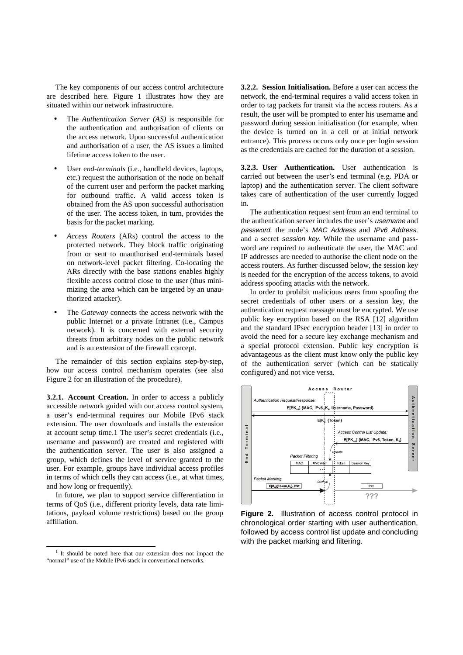The key components of our access control architecture are described here. Figure 1 illustrates how they are situated within our network infrastructure.

- The *Authentication Server (AS)* is responsible for the authentication and authorisation of clients on the access network. Upon successful authentication and authorisation of a user, the AS issues a limited lifetime access token to the user.
- User end-terminals (i.e., handheld devices, laptops, etc.) request the authorisation of the node on behalf of the current user and perform the packet marking for outbound traffic. A valid access token is obtained from the AS upon successful authorisation of the user. The access token, in turn, provides the basis for the packet marking.
- *Access Routers* (ARs) control the access to the protected network. They block traffic originating from or sent to unauthorised end-terminals based on network-level packet filtering. Co-locating the ARs directly with the base stations enables highly flexible access control close to the user (thus minimizing the area which can be targeted by an unauthorized attacker).
- The *Gateway* connects the access network with the public Internet or a private Intranet (i.e., Campus network). It is concerned with external security threats from arbitrary nodes on the public network and is an extension of the firewall concept.

The remainder of this section explains step-by-step, how our access control mechanism operates (see also Figure 2 for an illustration of the procedure).

**3.2.1. Account Creation.** In order to access a publicly accessible network guided with our access control system, a user's end-terminal requires our Mobile IPv6 stack extension. The user downloads and installs the extension at account setup time.1 The user's secret credentials (i.e., username and password) are created and registered with the authentication server. The user is also assigned a group, which defines the level of service granted to the user. For example, groups have individual access profiles in terms of which cells they can access (i.e., at what times, and how long or frequently).

In future, we plan to support service differentiation in terms of QoS (i.e., different priority levels, data rate limitations, payload volume restrictions) based on the group affiliation.

**3.2.2. Session Initialisation.** Before a user can access the network, the end-terminal requires a valid access token in order to tag packets for transit via the access routers. As a result, the user will be prompted to enter his username and password during session initialisation (for example, when the device is turned on in a cell or at initial network entrance). This process occurs only once per login session as the credentials are cached for the duration of a session.

**3.2.3. User Authentication.** User authentication is carried out between the user's end terminal (e.g. PDA or laptop) and the authentication server. The client software takes care of authentication of the user currently logged in.

The authentication request sent from an end terminal to the authentication server includes the user's username and password, the node's MAC Address and IPv6 Address, and a secret session key. While the username and password are required to authenticate the user, the MAC and IP addresses are needed to authorise the client node on the access routers. As further discussed below, the session key is needed for the encryption of the access tokens, to avoid address spoofing attacks with the network.

In order to prohibit malicious users from spoofing the secret credentials of other users or a session key, the authentication request message must be encrypted. We use public key encryption based on the RSA [12] algorithm and the standard IPsec encryption header [13] in order to avoid the need for a secure key exchange mechanism and a special protocol extension. Public key encryption is advantageous as the client must know only the public key of the authentication server (which can be statically configured) and not vice versa.



**Figure 2.** Illustration of access control protocol in chronological order starting with user authentication, followed by access control list update and concluding with the packet marking and filtering.

 <sup>1</sup> It should be noted here that our extension does not impact the "normal" use of the Mobile IPv6 stack in conventional networks.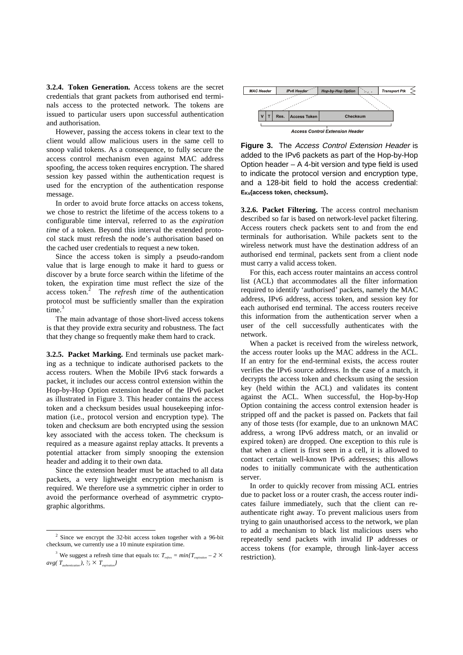**3.2.4. Token Generation.** Access tokens are the secret credentials that grant packets from authorised end terminals access to the protected network. The tokens are issued to particular users upon successful authentication and authorisation.

However, passing the access tokens in clear text to the client would allow malicious users in the same cell to snoop valid tokens. As a consequence, to fully secure the access control mechanism even against MAC address spoofing, the access token requires encryption. The shared session key passed within the authentication request is used for the encryption of the authentication response message.

In order to avoid brute force attacks on access tokens, we chose to restrict the lifetime of the access tokens to a configurable time interval, referred to as the *expiration time* of a token. Beyond this interval the extended protocol stack must refresh the node's authorisation based on the cached user credentials to request a new token.

Since the access token is simply a pseudo-random value that is large enough to make it hard to guess or discover by a brute force search within the lifetime of the token, the expiration time must reflect the size of the access token.<sup>2</sup> The *refresh time* of the authentication protocol must be sufficiently smaller than the expiration time.<sup>3</sup>

The main advantage of those short-lived access tokens is that they provide extra security and robustness. The fact that they change so frequently make them hard to crack.

**3.2.5. Packet Marking.** End terminals use packet marking as a technique to indicate authorised packets to the access routers. When the Mobile IPv6 stack forwards a packet, it includes our access control extension within the Hop-by-Hop Option extension header of the IPv6 packet as illustrated in Figure 3. This header contains the access token and a checksum besides usual housekeeping information (i.e., protocol version and encryption type). The token and checksum are both encrypted using the session key associated with the access token. The checksum is required as a measure against replay attacks. It prevents a potential attacker from simply snooping the extension header and adding it to their own data.

Since the extension header must be attached to all data packets, a very lightweight encryption mechanism is required. We therefore use a symmetric cipher in order to avoid the performance overhead of asymmetric cryptographic algorithms.



**Figure 3.** The Access Control Extension Header is added to the IPv6 packets as part of the Hop-by-Hop Option header – A 4-bit version and type field is used to indicate the protocol version and encryption type, and a 128-bit field to hold the access credential: **EKs{access token, checksum}.** 

**3.2.6. Packet Filtering.** The access control mechanism described so far is based on network-level packet filtering. Access routers check packets sent to and from the end terminals for authorisation. While packets sent to the wireless network must have the destination address of an authorised end terminal, packets sent from a client node must carry a valid access token.

For this, each access router maintains an access control list (ACL) that accommodates all the filter information required to identify 'authorised' packets, namely the MAC address, IPv6 address, access token, and session key for each authorised end terminal. The access routers receive this information from the authentication server when a user of the cell successfully authenticates with the network.

When a packet is received from the wireless network, the access router looks up the MAC address in the ACL. If an entry for the end-terminal exists, the access router verifies the IPv6 source address. In the case of a match, it decrypts the access token and checksum using the session key (held within the ACL) and validates its content against the ACL. When successful, the Hop-by-Hop Option containing the access control extension header is stripped off and the packet is passed on. Packets that fail any of those tests (for example, due to an unknown MAC address, a wrong IPv6 address match, or an invalid or expired token) are dropped. One exception to this rule is that when a client is first seen in a cell, it is allowed to contact certain well-known IPv6 addresses; this allows nodes to initially communicate with the authentication server.

In order to quickly recover from missing ACL entries due to packet loss or a router crash, the access router indicates failure immediately, such that the client can reauthenticate right away. To prevent malicious users from trying to gain unauthorised access to the network, we plan to add a mechanism to black list malicious users who repeatedly send packets with invalid IP addresses or access tokens (for example, through link-layer access restriction).

 <sup>2</sup> Since we encrypt the 32-bit access token together with a 96-bit checksum, we currently use a 10 minute expiration time.

<sup>&</sup>lt;sup>3</sup> We suggest a refresh time that equals to:  $T_{refres} = min\{T_{expimation} - 2 \times T_{expimation}\}$  $avg(T_{\text{authentication}}), \frac{2}{3} \times T_{\text{expination}}$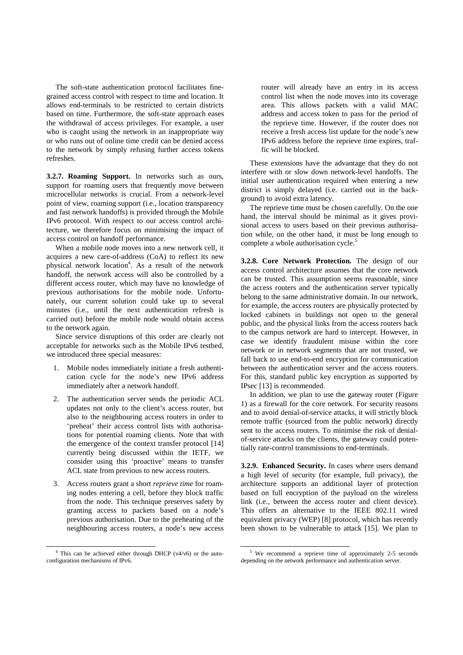The soft-state authentication protocol facilitates finegrained access control with respect to time and location. It allows end-terminals to be restricted to certain districts based on time. Furthermore, the soft-state approach eases the withdrawal of access privileges. For example, a user who is caught using the network in an inappropriate way or who runs out of online time credit can be denied access to the network by simply refusing further access tokens refreshes.

**3.2.7. Roaming Support.** In networks such as ours, support for roaming users that frequently move between microcellular networks is crucial. From a network-level point of view, roaming support (i.e., location transparency and fast network handoffs) is provided through the Mobile IPv6 protocol. With respect to our access control architecture, we therefore focus on minimising the impact of access control on handoff performance.

When a mobile node moves into a new network cell, it acquires a new care-of-address (CoA) to reflect its new physical network location<sup>4</sup>. As a result of the network handoff, the network access will also be controlled by a different access router, which may have no knowledge of previous authorisations for the mobile node. Unfortunately, our current solution could take up to several minutes (i.e., until the next authentication refresh is carried out) before the mobile node would obtain access to the network again.

Since service disruptions of this order are clearly not acceptable for networks such as the Mobile IPv6 testbed, we introduced three special measures:

- 1. Mobile nodes immediately initiate a fresh authentication cycle for the node's new IPv6 address immediately after a network handoff.
- 2. The authentication server sends the periodic ACL updates not only to the client's access router, but also to the neighbouring access routers in order to 'preheat' their access control lists with authorisations for potential roaming clients. Note that with the emergence of the context transfer protocol [14] currently being discussed within the IETF, we consider using this 'proactive' means to transfer ACL state from previous to new access routers.
- 3. Access routers grant a short *reprieve time* for roaming nodes entering a cell, before they block traffic from the node. This technique preserves safety by granting access to packets based on a node's previous authorisation. Due to the preheating of the neighbouring access routers, a node's new access

router will already have an entry in its access control list when the node moves into its coverage area. This allows packets with a valid MAC address and access token to pass for the period of the reprieve time. However, if the router does not receive a fresh access list update for the node's new IPv6 address before the reprieve time expires, traffic will be blocked.

These extensions have the advantage that they do not interfere with or slow down network-level handoffs. The initial user authentication required when entering a new district is simply delayed (i.e. carried out in the background) to avoid extra latency.

The reprieve time must be chosen carefully. On the one hand, the interval should be minimal as it gives provisional access to users based on their previous authorisation while, on the other hand, it must be long enough to complete a whole authorisation cycle.<sup>5</sup>

**3.2.8. Core Network Protection.** The design of our access control architecture assumes that the core network can be trusted. This assumption seems reasonable, since the access routers and the authentication server typically belong to the same administrative domain. In our network, for example, the access routers are physically protected by locked cabinets in buildings not open to the general public, and the physical links from the access routers back to the campus network are hard to intercept. However, in case we identify fraudulent misuse within the core network or in network segments that are not trusted, we fall back to use end-to-end encryption for communication between the authentication server and the access routers. For this, standard public key encryption as supported by IPsec [13] is recommended.

In addition, we plan to use the gateway router (Figure 1) as a firewall for the core network. For security reasons and to avoid denial-of-service attacks, it will strictly block remote traffic (sourced from the public network) directly sent to the access routers. To minimise the risk of denialof-service attacks on the clients, the gateway could potentially rate-control transmissions to end-terminals.

**3.2.9. Enhanced Security.** In cases where users demand a high level of security (for example, full privacy), the architecture supports an additional layer of protection based on full encryption of the payload on the wireless link (i.e., between the access router and client device). This offers an alternative to the IEEE 802.11 wired equivalent privacy (WEP) [8] protocol, which has recently been shown to be vulnerable to attack [15]. We plan to

 <sup>4</sup> This can be achieved either through DHCP (v4/v6) or the autoconfiguration mechanisms of IPv6.

<sup>&</sup>lt;sup>5</sup> We recommend a reprieve time of approximately 2-5 seconds depending on the network performance and authentication server.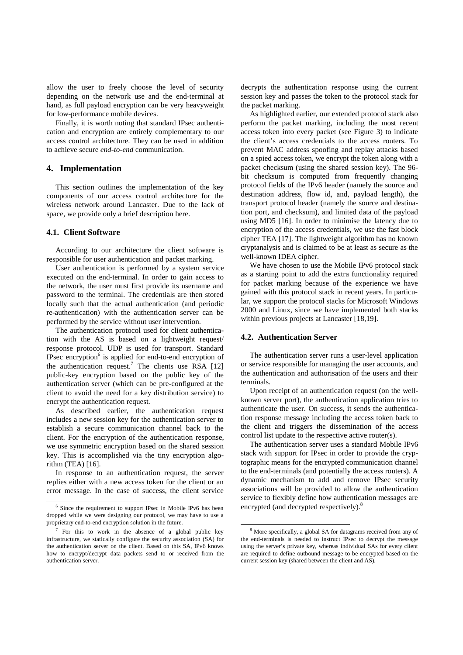allow the user to freely choose the level of security depending on the network use and the end-terminal at hand, as full payload encryption can be very heavyweight for low-performance mobile devices.

Finally, it is worth noting that standard IPsec authentication and encryption are entirely complementary to our access control architecture. They can be used in addition to achieve secure *end-to-end* communication.

### **4. Implementation**

This section outlines the implementation of the key components of our access control architecture for the wireless network around Lancaster. Due to the lack of space, we provide only a brief description here.

#### **4.1. Client Software**

According to our architecture the client software is responsible for user authentication and packet marking.

User authentication is performed by a system service executed on the end-terminal. In order to gain access to the network, the user must first provide its username and password to the terminal. The credentials are then stored locally such that the actual authentication (and periodic re-authentication) with the authentication server can be performed by the service without user intervention.

The authentication protocol used for client authentication with the AS is based on a lightweight request/ response protocol. UDP is used for transport. Standard IPsec encryption<sup>6</sup> is applied for end-to-end encryption of the authentication request.<sup>7</sup> The clients use RSA  $[12]$ public-key encryption based on the public key of the authentication server (which can be pre-configured at the client to avoid the need for a key distribution service) to encrypt the authentication request.

As described earlier, the authentication request includes a new session key for the authentication server to establish a secure communication channel back to the client. For the encryption of the authentication response, we use symmetric encryption based on the shared session key. This is accomplished via the tiny encryption algorithm (TEA) [16].

In response to an authentication request, the server replies either with a new access token for the client or an error message. In the case of success, the client service decrypts the authentication response using the current session key and passes the token to the protocol stack for the packet marking.

As highlighted earlier, our extended protocol stack also perform the packet marking, including the most recent access token into every packet (see Figure 3) to indicate the client's access credentials to the access routers. To prevent MAC address spoofing and replay attacks based on a spied access token, we encrypt the token along with a packet checksum (using the shared session key). The 96 bit checksum is computed from frequently changing protocol fields of the IPv6 header (namely the source and destination address, flow id, and, payload length), the transport protocol header (namely the source and destination port, and checksum), and limited data of the payload using MD5 [16]. In order to minimise the latency due to encryption of the access credentials, we use the fast block cipher TEA [17]. The lightweight algorithm has no known cryptanalysis and is claimed to be at least as secure as the well-known IDEA cipher.

We have chosen to use the Mobile IPv6 protocol stack as a starting point to add the extra functionality required for packet marking because of the experience we have gained with this protocol stack in recent years. In particular, we support the protocol stacks for Microsoft Windows 2000 and Linux, since we have implemented both stacks within previous projects at Lancaster [18,19].

### **4.2. Authentication Server**

The authentication server runs a user-level application or service responsible for managing the user accounts, and the authentication and authorisation of the users and their terminals.

Upon receipt of an authentication request (on the wellknown server port), the authentication application tries to authenticate the user. On success, it sends the authentication response message including the access token back to the client and triggers the dissemination of the access control list update to the respective active router(s).

The authentication server uses a standard Mobile IPv6 stack with support for IPsec in order to provide the cryptographic means for the encrypted communication channel to the end-terminals (and potentially the access routers). A dynamic mechanism to add and remove IPsec security associations will be provided to allow the authentication service to flexibly define how authentication messages are encrypted (and decrypted respectively).<sup>8</sup>

 $\frac{1}{6}$  $6$  Since the requirement to support IPsec in Mobile IPv6 has been dropped while we were designing our protocol, we may have to use a proprietary end-to-end encryption solution in the future.

 $7$  For this to work in the absence of a global public key infrastructure, we statically configure the security association (SA) for the authentication server on the client. Based on this SA, IPv6 knows how to encrypt/decrypt data packets send to or received from the authentication server.

 $\frac{1}{8}$  More specifically, a global SA for datagrams received from any of the end-terminals is needed to instruct IPsec to decrypt the message using the server's private key, whereas individual SAs for every client are required to define outbound message to be encrypted based on the current session key (shared between the client and AS).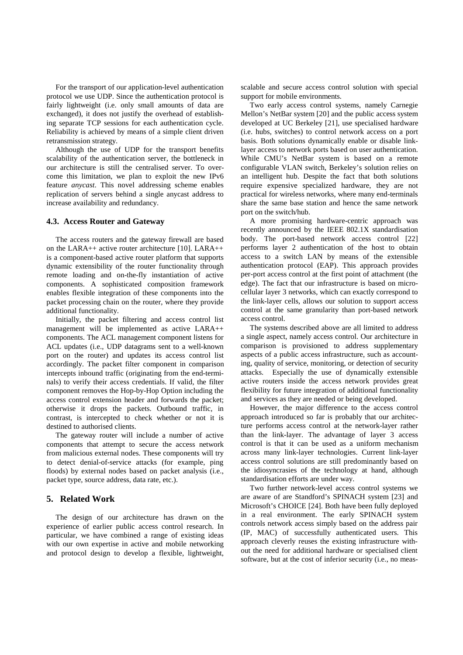For the transport of our application-level authentication protocol we use UDP. Since the authentication protocol is fairly lightweight (i.e. only small amounts of data are exchanged), it does not justify the overhead of establishing separate TCP sessions for each authentication cycle. Reliability is achieved by means of a simple client driven retransmission strategy.

Although the use of UDP for the transport benefits scalability of the authentication server, the bottleneck in our architecture is still the centralised server. To overcome this limitation, we plan to exploit the new IPv6 feature *anycast*. This novel addressing scheme enables replication of servers behind a single anycast address to increase availability and redundancy.

#### **4.3. Access Router and Gateway**

The access routers and the gateway firewall are based on the LARA++ active router architecture [10]. LARA++ is a component-based active router platform that supports dynamic extensibility of the router functionality through remote loading and on-the-fly instantiation of active components. A sophisticated composition framework enables flexible integration of these components into the packet processing chain on the router, where they provide additional functionality.

Initially, the packet filtering and access control list management will be implemented as active LARA++ components. The ACL management component listens for ACL updates (i.e., UDP datagrams sent to a well-known port on the router) and updates its access control list accordingly. The packet filter component in comparison intercepts inbound traffic (originating from the end-terminals) to verify their access credentials. If valid, the filter component removes the Hop-by-Hop Option including the access control extension header and forwards the packet; otherwise it drops the packets. Outbound traffic, in contrast, is intercepted to check whether or not it is destined to authorised clients.

The gateway router will include a number of active components that attempt to secure the access network from malicious external nodes. These components will try to detect denial-of-service attacks (for example, ping floods) by external nodes based on packet analysis (i.e., packet type, source address, data rate, etc.).

# **5. Related Work**

The design of our architecture has drawn on the experience of earlier public access control research. In particular, we have combined a range of existing ideas with our own expertise in active and mobile networking and protocol design to develop a flexible, lightweight, scalable and secure access control solution with special support for mobile environments.

Two early access control systems, namely Carnegie Mellon's NetBar system [20] and the public access system developed at UC Berkeley [21], use specialised hardware (i.e. hubs, switches) to control network access on a port basis. Both solutions dynamically enable or disable linklayer access to network ports based on user authentication. While CMU's NetBar system is based on a remote configurable VLAN switch, Berkeley's solution relies on an intelligent hub. Despite the fact that both solutions require expensive specialized hardware, they are not practical for wireless networks, where many end-terminals share the same base station and hence the same network port on the switch/hub.

A more promising hardware-centric approach was recently announced by the IEEE 802.1X standardisation body. The port-based network access control [22] performs layer 2 authentication of the host to obtain access to a switch LAN by means of the extensible authentication protocol (EAP). This approach provides per-port access control at the first point of attachment (the edge). The fact that our infrastructure is based on microcellular layer 3 networks, which can exactly correspond to the link-layer cells, allows our solution to support access control at the same granularity than port-based network access control.

The systems described above are all limited to address a single aspect, namely access control. Our architecture in comparison is provisioned to address supplementary aspects of a public access infrastructure, such as accounting, quality of service, monitoring, or detection of security attacks. Especially the use of dynamically extensible active routers inside the access network provides great flexibility for future integration of additional functionality and services as they are needed or being developed.

However, the major difference to the access control approach introduced so far is probably that our architecture performs access control at the network-layer rather than the link-layer. The advantage of layer 3 access control is that it can be used as a uniform mechanism across many link-layer technologies. Current link-layer access control solutions are still predominantly based on the idiosyncrasies of the technology at hand, although standardisation efforts are under way.

Two further network-level access control systems we are aware of are Standford's SPINACH system [23] and Microsoft's CHOICE [24]. Both have been fully deployed in a real environment. The early SPINACH system controls network access simply based on the address pair (IP, MAC) of successfully authenticated users. This approach cleverly reuses the existing infrastructure without the need for additional hardware or specialised client software, but at the cost of inferior security (i.e., no meas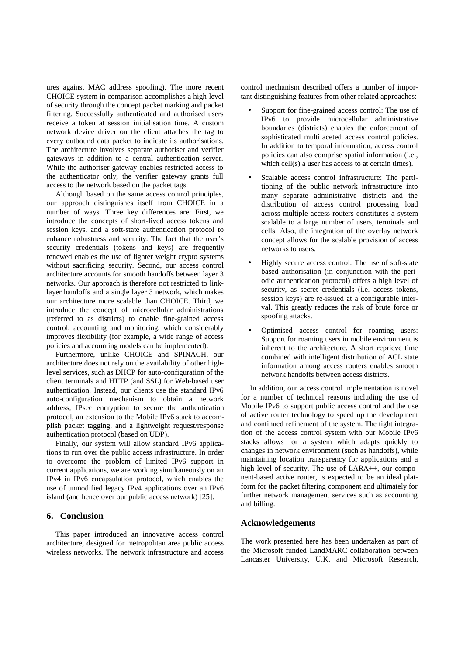ures against MAC address spoofing). The more recent CHOICE system in comparison accomplishes a high-level of security through the concept packet marking and packet filtering. Successfully authenticated and authorised users receive a token at session initialisation time. A custom network device driver on the client attaches the tag to every outbound data packet to indicate its authorisations. The architecture involves separate authoriser and verifier gateways in addition to a central authentication server. While the authoriser gateway enables restricted access to the authenticator only, the verifier gateway grants full access to the network based on the packet tags.

Although based on the same access control principles, our approach distinguishes itself from CHOICE in a number of ways. Three key differences are: First, we introduce the concepts of short-lived access tokens and session keys, and a soft-state authentication protocol to enhance robustness and security. The fact that the user's security credentials (tokens and keys) are frequently renewed enables the use of lighter weight crypto systems without sacrificing security. Second, our access control architecture accounts for smooth handoffs between layer 3 networks. Our approach is therefore not restricted to linklayer handoffs and a single layer 3 network, which makes our architecture more scalable than CHOICE. Third, we introduce the concept of microcellular administrations (referred to as districts) to enable fine-grained access control, accounting and monitoring, which considerably improves flexibility (for example, a wide range of access policies and accounting models can be implemented).

Furthermore, unlike CHOICE and SPINACH, our architecture does not rely on the availability of other highlevel services, such as DHCP for auto-configuration of the client terminals and HTTP (and SSL) for Web-based user authentication. Instead, our clients use the standard IPv6 auto-configuration mechanism to obtain a network address, IPsec encryption to secure the authentication protocol, an extension to the Mobile IPv6 stack to accomplish packet tagging, and a lightweight request/response authentication protocol (based on UDP).

Finally, our system will allow standard IPv6 applications to run over the public access infrastructure. In order to overcome the problem of limited IPv6 support in current applications, we are working simultaneously on an IPv4 in IPv6 encapsulation protocol, which enables the use of unmodified legacy IPv4 applications over an IPv6 island (and hence over our public access network) [25].

# **6. Conclusion**

This paper introduced an innovative access control architecture, designed for metropolitan area public access wireless networks. The network infrastructure and access control mechanism described offers a number of important distinguishing features from other related approaches:

- Support for fine-grained access control: The use of IPv6 to provide microcellular administrative boundaries (districts) enables the enforcement of sophisticated multifaceted access control policies. In addition to temporal information, access control policies can also comprise spatial information (i.e., which cell(s) a user has access to at certain times).
- Scalable access control infrastructure: The partitioning of the public network infrastructure into many separate administrative districts and the distribution of access control processing load across multiple access routers constitutes a system scalable to a large number of users, terminals and cells. Also, the integration of the overlay network concept allows for the scalable provision of access networks to users.
- Highly secure access control: The use of soft-state based authorisation (in conjunction with the periodic authentication protocol) offers a high level of security, as secret credentials (i.e. access tokens, session keys) are re-issued at a configurable interval. This greatly reduces the risk of brute force or spoofing attacks.
- Optimised access control for roaming users: Support for roaming users in mobile environment is inherent to the architecture. A short reprieve time combined with intelligent distribution of ACL state information among access routers enables smooth network handoffs between access districts.

In addition, our access control implementation is novel for a number of technical reasons including the use of Mobile IPv6 to support public access control and the use of active router technology to speed up the development and continued refinement of the system. The tight integration of the access control system with our Mobile IPv6 stacks allows for a system which adapts quickly to changes in network environment (such as handoffs), while maintaining location transparency for applications and a high level of security. The use of LARA++, our component-based active router, is expected to be an ideal platform for the packet filtering component and ultimately for further network management services such as accounting and billing.

### **Acknowledgements**

The work presented here has been undertaken as part of the Microsoft funded LandMARC collaboration between Lancaster University, U.K. and Microsoft Research,